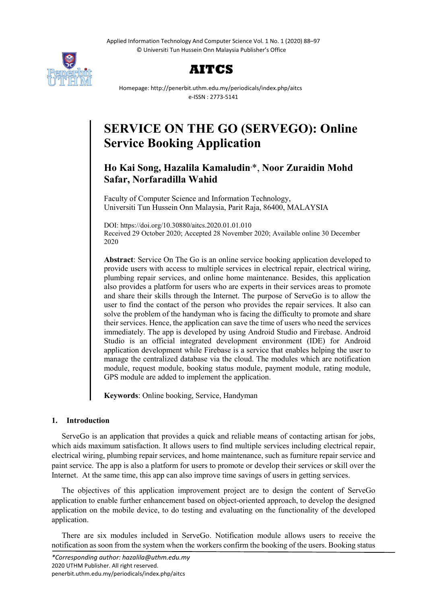Applied Information Technology And Computer Science Vol. 1 No. 1 (2020) 88–97 © Universiti Tun Hussein Onn Malaysia Publisher's Office





Homepage: http://penerbit.uthm.edu.my/periodicals/index.php/aitcs e-ISSN : 2773-5141

# **SERVICE ON THE GO (SERVEGO): Online Service Booking Application**

## **Ho Kai Song, Hazalila Kamaludin**, \*, **Noor Zuraidin Mohd Safar, Norfaradilla Wahid**

Faculty of Computer Science and Information Technology, Universiti Tun Hussein Onn Malaysia, Parit Raja, 86400, MALAYSIA

DOI: https://doi.org/10.30880/aitcs.2020.01.01.010 Received 29 October 2020; Accepted 28 November 2020; Available online 30 December 2020

**Abstract**: Service On The Go is an online service booking application developed to provide users with access to multiple services in electrical repair, electrical wiring, plumbing repair services, and online home maintenance. Besides, this application also provides a platform for users who are experts in their services areas to promote and share their skills through the Internet. The purpose of ServeGo is to allow the user to find the contact of the person who provides the repair services. It also can solve the problem of the handyman who is facing the difficulty to promote and share their services. Hence, the application can save the time of users who need the services immediately. The app is developed by using Android Studio and Firebase. Android Studio is an official integrated development environment (IDE) for Android application development while Firebase is a service that enables helping the user to manage the centralized database via the cloud. The modules which are notification module, request module, booking status module, payment module, rating module, GPS module are added to implement the application.

**Keywords**: Online booking, Service, Handyman

## **1. Introduction**

ServeGo is an application that provides a quick and reliable means of contacting artisan for jobs, which aids maximum satisfaction. It allows users to find multiple services including electrical repair, electrical wiring, plumbing repair services, and home maintenance, such as furniture repair service and paint service. The app is also a platform for users to promote or develop their services or skill over the Internet. At the same time, this app can also improve time savings of users in getting services.

The objectives of this application improvement project are to design the content of ServeGo application to enable further enhancement based on object-oriented approach, to develop the designed application on the mobile device, to do testing and evaluating on the functionality of the developed application.

There are six modules included in ServeGo. Notification module allows users to receive the notification as soon from the system when the workers confirm the booking of the users. Booking status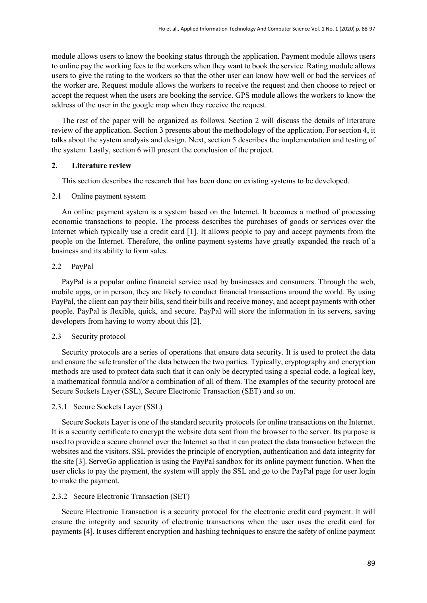module allows users to know the booking status through the application. Payment module allows users to online pay the working fees to the workers when they want to book the service. Rating module allows users to give the rating to the workers so that the other user can know how well or bad the services of the worker are. Request module allows the workers to receive the request and then choose to reject or accept the request when the users are booking the service. GPS module allows the workers to know the address of the user in the google map when they receive the request.

The rest of the paper will be organized as follows. Section 2 will discuss the details of literature review of the application. Section 3 presents about the methodology of the application. For section 4, it talks about the system analysis and design. Next, section 5 describes the implementation and testing of the system. Lastly, section 6 will present the conclusion of the project.

## **2. Literature review**

This section describes the research that has been done on existing systems to be developed.

#### 2.1 Online payment system

An online payment system is a system based on the Internet. It becomes a method of processing economic transactions to people. The process describes the purchases of goods or services over the Internet which typically use a credit card [1]. It allows people to pay and accept payments from the people on the Internet. Therefore, the online payment systems have greatly expanded the reach of a business and its ability to form sales.

#### 2.2 PayPal

PayPal is a popular online financial service used by businesses and consumers. Through the web, mobile apps, or in person, they are likely to conduct financial transactions around the world. By using PayPal, the client can pay their bills, send their bills and receive money, and accept payments with other people. PayPal is flexible, quick, and secure. PayPal will store the information in its servers, saving developers from having to worry about this [2].

#### 2.3 Security protocol

Security protocols are a series of operations that ensure data security. It is used to protect the data and ensure the safe transfer of the data between the two parties. Typically, cryptography and encryption methods are used to protect data such that it can only be decrypted using a special code, a logical key, a mathematical formula and/or a combination of all of them. The examples of the security protocol are Secure Sockets Layer (SSL), Secure Electronic Transaction (SET) and so on.

#### 2.3.1 Secure Sockets Layer (SSL)

Secure Sockets Layer is one of the standard security protocols for online transactions on the Internet. It is a security certificate to encrypt the website data sent from the browser to the server. Its purpose is used to provide a secure channel over the Internet so that it can protect the data transaction between the websites and the visitors. SSL provides the principle of encryption, authentication and data integrity for the site [3]. ServeGo application is using the PayPal sandbox for its online payment function. When the user clicks to pay the payment, the system will apply the SSL and go to the PayPal page for user login to make the payment.

#### 2.3.2 Secure Electronic Transaction (SET)

Secure Electronic Transaction is a security protocol for the electronic credit card payment. It will ensure the integrity and security of electronic transactions when the user uses the credit card for payments [4]. It uses different encryption and hashing techniques to ensure the safety of online payment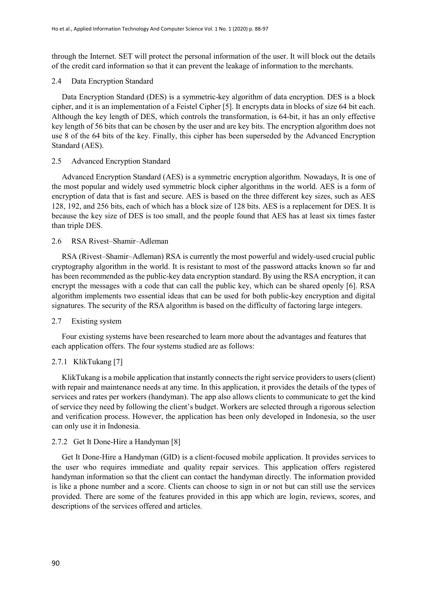through the Internet. SET will protect the personal information of the user. It will block out the details of the credit card information so that it can prevent the leakage of information to the merchants.

## 2.4 Data Encryption Standard

Data Encryption Standard (DES) is a symmetric-key algorithm of data encryption. DES is a block cipher, and it is an implementation of a Feistel Cipher [5]. It encrypts data in blocks of size 64 bit each. Although the key length of DES, which controls the transformation, is 64-bit, it has an only effective key length of 56 bits that can be chosen by the user and are key bits. The encryption algorithm does not use 8 of the 64 bits of the key. Finally, this cipher has been superseded by the Advanced Encryption Standard (AES).

## 2.5 Advanced Encryption Standard

Advanced Encryption Standard (AES) is a symmetric encryption algorithm. Nowadays, It is one of the most popular and widely used symmetric block cipher algorithms in the world. AES is a form of encryption of data that is fast and secure. AES is based on the three different key sizes, such as AES 128, 192, and 256 bits, each of which has a block size of 128 bits. AES is a replacement for DES. It is because the key size of DES is too small, and the people found that AES has at least six times faster than triple DES.

#### 2.6 RSA Rivest–Shamir–Adleman

RSA (Rivest–Shamir–Adleman) RSA is currently the most powerful and widely-used crucial public cryptography algorithm in the world. It is resistant to most of the password attacks known so far and has been recommended as the public-key data encryption standard. By using the RSA encryption, it can encrypt the messages with a code that can call the public key, which can be shared openly [6]. RSA algorithm implements two essential ideas that can be used for both public-key encryption and digital signatures. The security of the RSA algorithm is based on the difficulty of factoring large integers.

#### 2.7 Existing system

Four existing systems have been researched to learn more about the advantages and features that each application offers. The four systems studied are as follows:

## 2.7.1 KlikTukang [7]

KlikTukang is a mobile application that instantly connects the right service providers to users (client) with repair and maintenance needs at any time. In this application, it provides the details of the types of services and rates per workers (handyman). The app also allows clients to communicate to get the kind of service they need by following the client's budget. Workers are selected through a rigorous selection and verification process. However, the application has been only developed in Indonesia, so the user can only use it in Indonesia.

## 2.7.2 Get It Done-Hire a Handyman [8]

Get It Done-Hire a Handyman (GID) is a client-focused mobile application. It provides services to the user who requires immediate and quality repair services. This application offers registered handyman information so that the client can contact the handyman directly. The information provided is like a phone number and a score. Clients can choose to sign in or not but can still use the services provided. There are some of the features provided in this app which are login, reviews, scores, and descriptions of the services offered and articles.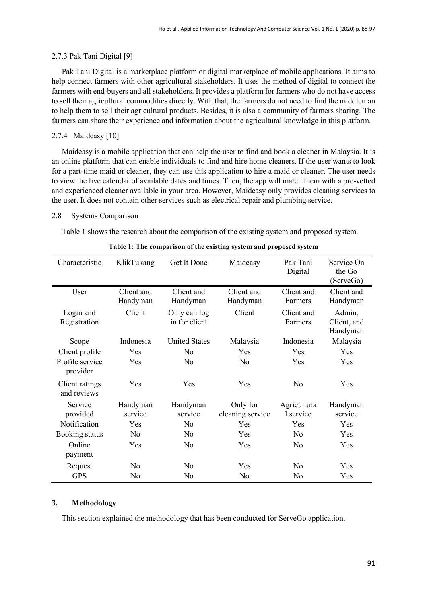#### 2.7.3 Pak Tani Digital [9]

Pak Tani Digital is a marketplace platform or digital marketplace of mobile applications. It aims to help connect farmers with other agricultural stakeholders. It uses the method of digital to connect the farmers with end-buyers and all stakeholders. It provides a platform for farmers who do not have access to sell their agricultural commodities directly. With that, the farmers do not need to find the middleman to help them to sell their agricultural products. Besides, it is also a community of farmers sharing. The farmers can share their experience and information about the agricultural knowledge in this platform.

#### 2.7.4 Maideasy [10]

Maideasy is a mobile application that can help the user to find and book a cleaner in Malaysia. It is an online platform that can enable individuals to find and hire home cleaners. If the user wants to look for a part-time maid or cleaner, they can use this application to hire a maid or cleaner. The user needs to view the live calendar of available dates and times. Then, the app will match them with a pre-vetted and experienced cleaner available in your area. However, Maideasy only provides cleaning services to the user. It does not contain other services such as electrical repair and plumbing service.

## 2.8 Systems Comparison

Table 1 shows the research about the comparison of the existing system and proposed system.

| Characteristic                | KlikTukang             | Get It Done                   | Maideasy                     | Pak Tani<br>Digital      | Service On<br>the Go<br>(ServeGo) |
|-------------------------------|------------------------|-------------------------------|------------------------------|--------------------------|-----------------------------------|
| User                          | Client and<br>Handyman | Client and<br>Handyman        | Client and<br>Handyman       | Client and<br>Farmers    | Client and<br>Handyman            |
| Login and<br>Registration     | Client                 | Only can log<br>in for client | Client                       | Client and<br>Farmers    | Admin,<br>Client, and<br>Handyman |
| Scope                         | Indonesia              | <b>United States</b>          | Malaysia                     | Indonesia                | Malaysia                          |
| Client profile                | Yes                    | No                            | Yes                          | Yes                      | <b>Yes</b>                        |
| Profile service<br>provider   | Yes                    | No                            | $\rm No$                     | Yes                      | Yes                               |
| Client ratings<br>and reviews | Yes                    | Yes                           | Yes                          | No                       | Yes                               |
| Service<br>provided           | Handyman<br>service    | Handyman<br>service           | Only for<br>cleaning service | Agricultura<br>1 service | Handyman<br>service               |
| Notification                  | Yes                    | No                            | Yes                          | Yes                      | Yes                               |
| Booking status                | N <sub>0</sub>         | N <sub>0</sub>                | Yes                          | N <sub>0</sub>           | Yes                               |
| Online<br>payment             | Yes                    | No                            | Yes                          | N <sub>0</sub>           | Yes                               |
| Request                       | N <sub>0</sub>         | No                            | Yes                          | N <sub>0</sub>           | Yes                               |
| <b>GPS</b>                    | No                     | No                            | N <sub>0</sub>               | No                       | Yes                               |

#### **Table 1: The comparison of the existing system and proposed system**

#### **3. Methodology**

This section explained the methodology that has been conducted for ServeGo application.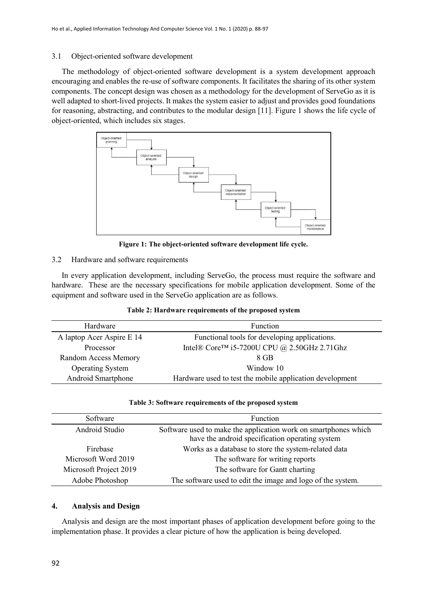## 3.1 Object-oriented software development

The methodology of object-oriented software development is a system development approach encouraging and enables the re-use of software components. It facilitates the sharing of its other system components. The concept design was chosen as a methodology for the development of ServeGo as it is well adapted to short-lived projects. It makes the system easier to adjust and provides good foundations for reasoning, abstracting, and contributes to the modular design [11]. Figure 1 shows the life cycle of object-oriented, which includes six stages.



**Figure 1: The object-oriented software development life cycle.**

## 3.2 Hardware and software requirements

In every application development, including ServeGo, the process must require the software and hardware. These are the necessary specifications for mobile application development. Some of the equipment and software used in the ServeGo application are as follows.

| Table 2: Hardware requirements of the proposed system |  |  |  |
|-------------------------------------------------------|--|--|--|
|-------------------------------------------------------|--|--|--|

| Hardware                    | <b>Function</b>                                          |  |
|-----------------------------|----------------------------------------------------------|--|
| A laptop Acer Aspire E 14   | Functional tools for developing applications.            |  |
| Processor                   | Intel® Core <sup>TM</sup> i5-7200U CPU @ 2.50GHz 2.71Ghz |  |
| <b>Random Access Memory</b> | 8 GB                                                     |  |
| <b>Operating System</b>     | Window 10                                                |  |
| Android Smartphone          | Hardware used to test the mobile application development |  |

#### **Table 3: Software requirements of the proposed system**

| Software               | Function                                                        |  |
|------------------------|-----------------------------------------------------------------|--|
| Android Studio         | Software used to make the application work on smartphones which |  |
|                        | have the android specification operating system                 |  |
| Firebase               | Works as a database to store the system-related data            |  |
| Microsoft Word 2019    | The software for writing reports                                |  |
| Microsoft Project 2019 | The software for Gantt charting                                 |  |
| Adobe Photoshop        | The software used to edit the image and logo of the system.     |  |

## **4. Analysis and Design**

Analysis and design are the most important phases of application development before going to the implementation phase. It provides a clear picture of how the application is being developed.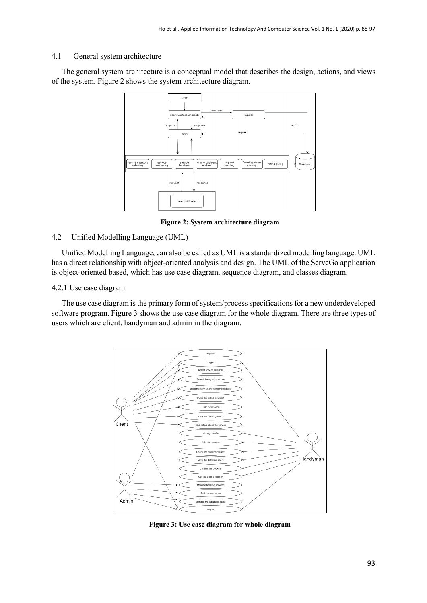#### 4.1 General system architecture

The general system architecture is a conceptual model that describes the design, actions, and views of the system. Figure 2 shows the system architecture diagram.



**Figure 2: System architecture diagram**

## 4.2 Unified Modelling Language (UML)

Unified Modelling Language, can also be called as UML is a standardized modelling language. UML has a direct relationship with object-oriented analysis and design. The UML of the ServeGo application is object-oriented based, which has use case diagram, sequence diagram, and classes diagram.

## 4.2.1 Use case diagram

The use case diagram is the primary form of system/process specifications for a new underdeveloped software program. Figure 3 shows the use case diagram for the whole diagram. There are three types of users which are client, handyman and admin in the diagram.



**Figure 3: Use case diagram for whole diagram**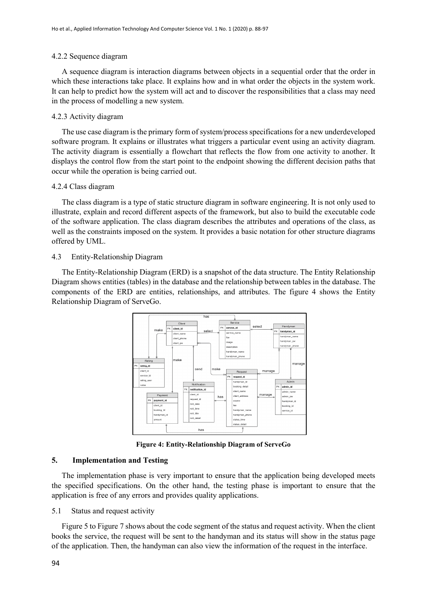#### 4.2.2 Sequence diagram

A sequence diagram is interaction diagrams between objects in a sequential order that the order in which these interactions take place. It explains how and in what order the objects in the system work. It can help to predict how the system will act and to discover the responsibilities that a class may need in the process of modelling a new system.

#### 4.2.3 Activity diagram

The use case diagram is the primary form of system/process specifications for a new underdeveloped software program. It explains or illustrates what triggers a particular event using an activity diagram. The activity diagram is essentially a flowchart that reflects the flow from one activity to another. It displays the control flow from the start point to the endpoint showing the different decision paths that occur while the operation is being carried out.

#### 4.2.4 Class diagram

The class diagram is a type of static structure diagram in software engineering. It is not only used to illustrate, explain and record different aspects of the framework, but also to build the executable code of the software application. The class diagram describes the attributes and operations of the class, as well as the constraints imposed on the system. It provides a basic notation for other structure diagrams offered by UML.

#### 4.3 Entity-Relationship Diagram

The Entity-Relationship Diagram (ERD) is a snapshot of the data structure. The Entity Relationship Diagram shows entities (tables) in the database and the relationship between tables in the database. The components of the ERD are entities, relationships, and attributes. The figure 4 shows the Entity Relationship Diagram of ServeGo.



**Figure 4: Entity-Relationship Diagram of ServeGo**

## **5. Implementation and Testing**

The implementation phase is very important to ensure that the application being developed meets the specified specifications. On the other hand, the testing phase is important to ensure that the application is free of any errors and provides quality applications.

#### 5.1 Status and request activity

Figure 5 to Figure 7 shows about the code segment of the status and request activity. When the client books the service, the request will be sent to the handyman and its status will show in the status page of the application. Then, the handyman can also view the information of the request in the interface.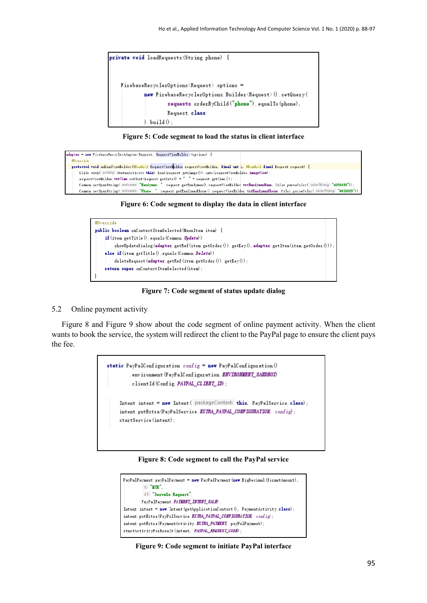

**Figure 5: Code segment to load the status in client interface**



**Figure 6: Code segment to display the data in client interface**



**Figure 7: Code segment of status update dialog**

#### 5.2 Online payment activity

Figure 8 and Figure 9 show about the code segment of online payment activity. When the client wants to book the service, the system will redirect the client to the PayPal page to ensure the client pays the fee.



#### **Figure 8: Code segment to call the PayPal service**



#### **Figure 9: Code segment to initiate PayPal interface**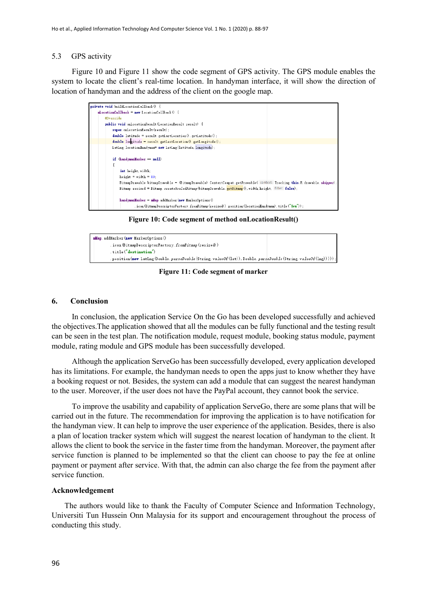## 5.3 GPS activity

Figure 10 and Figure 11 show the code segment of GPS activity. The GPS module enables the system to locate the client's real-time location. In handyman interface, it will show the direction of location of handyman and the address of the client on the google map.

| private void buildLocationCallback 0 {                                                                                                                          |
|-----------------------------------------------------------------------------------------------------------------------------------------------------------------|
| $m$ LocationCallback = $n$ ew LocationCallback $0 \in$                                                                                                          |
| @Override                                                                                                                                                       |
| public void onLocationResult (LocationResult result) {                                                                                                          |
| super. onLocationResult (result);                                                                                                                               |
| double latitude = $result$ . getLastLocation $0$ . getLatitude $0$ ;                                                                                            |
| double longitude = result.getLastLocation $0$ .getLongitude $0$ ;                                                                                               |
| LatLng locationHandyman= new LatLng (latitude, longitude) ;                                                                                                     |
| if $(h$ andymanMarker = $null$                                                                                                                                  |
| int height, width:                                                                                                                                              |
| $height = width = 80$ :                                                                                                                                         |
| BitmapDrawable bitmapDrawable = $(BitmapDrawable)$ ContextCompat getDrawable( context: Tracking this, R. drawable. shipper);                                    |
| Bitmap resized = Bitmap <i>createScaledBitmap</i> (bitmapDrawable getBitmap (), width, height, filter: false);                                                  |
| $handymanMarker = mllap. addHarker(new MarkerOptions()$<br>. icon (BitmapDescriptorFactory. fromBitmap (resized)). position (locationHandyman). title ("You")); |

**Figure 10: Code segment of method onLocationResult()**



**Figure 11: Code segment of marker**

#### **6. Conclusion**

In conclusion, the application Service On the Go has been developed successfully and achieved the objectives.The application showed that all the modules can be fully functional and the testing result can be seen in the test plan. The notification module, request module, booking status module, payment module, rating module and GPS module has been successfully developed.

Although the application ServeGo has been successfully developed, every application developed has its limitations. For example, the handyman needs to open the apps just to know whether they have a booking request or not. Besides, the system can add a module that can suggest the nearest handyman to the user. Moreover, if the user does not have the PayPal account, they cannot book the service.

To improve the usability and capability of application ServeGo, there are some plans that will be carried out in the future. The recommendation for improving the application is to have notification for the handyman view. It can help to improve the user experience of the application. Besides, there is also a plan of location tracker system which will suggest the nearest location of handyman to the client. It allows the client to book the service in the faster time from the handyman. Moreover, the payment after service function is planned to be implemented so that the client can choose to pay the fee at online payment or payment after service. With that, the admin can also charge the fee from the payment after service function.

## **Acknowledgement**

The authors would like to thank the Faculty of Computer Science and Information Technology, Universiti Tun Hussein Onn Malaysia for its support and encouragement throughout the process of conducting this study.